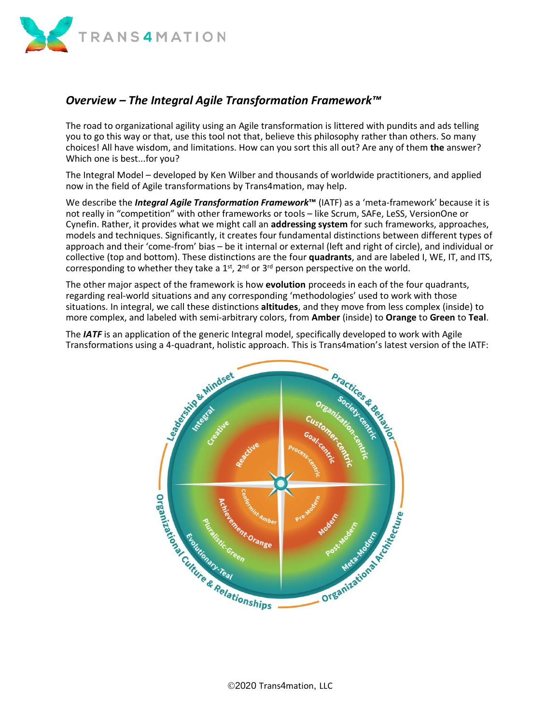

## *Overview – The Integral Agile Transformation Framework™*

The road to organizational agility using an Agile transformation is littered with pundits and ads telling you to go this way or that, use this tool not that, believe this philosophy rather than others. So many choices! All have wisdom, and limitations. How can you sort this all out? Are any of them **the** answer? Which one is best...for you?

The Integral Model – developed by Ken Wilber and thousands of worldwide practitioners, and applied now in the field of Agile transformations by Trans4mation, may help.

We describe the *Integral Agile Transformation Framework***™** (IATF) as a 'meta-framework' because it is not really in "competition" with other frameworks or tools – like Scrum, SAFe, LeSS, VersionOne or Cynefin. Rather, it provides what we might call an **addressing system** for such frameworks, approaches, models and techniques. Significantly, it creates four fundamental distinctions between different types of approach and their 'come-from' bias – be it internal or external (left and right of circle), and individual or collective (top and bottom). These distinctions are the four **quadrants**, and are labeled I, WE, IT, and ITS, corresponding to whether they take a  $1<sup>st</sup>$ ,  $2<sup>nd</sup>$  or  $3<sup>rd</sup>$  person perspective on the world.

The other major aspect of the framework is how **evolution** proceeds in each of the four quadrants, regarding real-world situations and any corresponding 'methodologies' used to work with those situations. In integral, we call these distinctions **altitudes**, and they move from less complex (inside) to more complex, and labeled with semi-arbitrary colors, from **Amber** (inside) to **Orange** to **Green** to **Teal**.

The *IATF* is an application of the generic Integral model, specifically developed to work with Agile Transformations using a 4-quadrant, holistic approach. This is Trans4mation's latest version of the IATF:

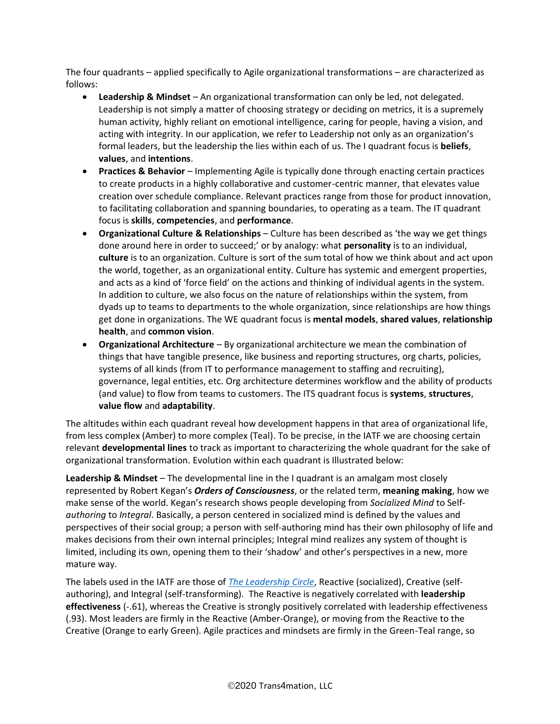The four quadrants – applied specifically to Agile organizational transformations – are characterized as follows:

- **Leadership & Mindset** An organizational transformation can only be led, not delegated. Leadership is not simply a matter of choosing strategy or deciding on metrics, it is a supremely human activity, highly reliant on emotional intelligence, caring for people, having a vision, and acting with integrity. In our application, we refer to Leadership not only as an organization's formal leaders, but the leadership the lies within each of us. The I quadrant focus is **beliefs**, **values**, and **intentions**.
- **Practices & Behavior** Implementing Agile is typically done through enacting certain practices to create products in a highly collaborative and customer-centric manner, that elevates value creation over schedule compliance. Relevant practices range from those for product innovation, to facilitating collaboration and spanning boundaries, to operating as a team. The IT quadrant focus is **skills**, **competencies**, and **performance**.
- **Organizational Culture & Relationships** Culture has been described as 'the way we get things done around here in order to succeed;' or by analogy: what **personality** is to an individual, **culture** is to an organization. Culture is sort of the sum total of how we think about and act upon the world, together, as an organizational entity. Culture has systemic and emergent properties, and acts as a kind of 'force field' on the actions and thinking of individual agents in the system. In addition to culture, we also focus on the nature of relationships within the system, from dyads up to teams to departments to the whole organization, since relationships are how things get done in organizations. The WE quadrant focus is **mental models**, **shared values**, **relationship health**, and **common vision**.
- **Organizational Architecture** By organizational architecture we mean the combination of things that have tangible presence, like business and reporting structures, org charts, policies, systems of all kinds (from IT to performance management to staffing and recruiting), governance, legal entities, etc. Org architecture determines workflow and the ability of products (and value) to flow from teams to customers. The ITS quadrant focus is **systems**, **structures**, **value flow** and **adaptability**.

The altitudes within each quadrant reveal how development happens in that area of organizational life, from less complex (Amber) to more complex (Teal). To be precise, in the IATF we are choosing certain relevant **developmental lines** to track as important to characterizing the whole quadrant for the sake of organizational transformation. Evolution within each quadrant is Illustrated below:

**Leadership & Mindset** – The developmental line in the I quadrant is an amalgam most closely represented by Robert Kegan's *Orders of Consciousness*, or the related term, **meaning making**, how we make sense of the world. Kegan's research shows people developing from *Socialized Mind* to Self*authoring* to *Integral*. Basically, a person centered in socialized mind is defined by the values and perspectives of their social group; a person with self-authoring mind has their own philosophy of life and makes decisions from their own internal principles; Integral mind realizes any system of thought is limited, including its own, opening them to their 'shadow' and other's perspectives in a new, more mature way.

The labels used in the IATF are those of *[The Leadership Circle](http://www.theleadershipcircle.com/)*, Reactive (socialized), Creative (selfauthoring), and Integral (self-transforming). The Reactive is negatively correlated with **leadership effectiveness** (-.61), whereas the Creative is strongly positively correlated with leadership effectiveness (.93). Most leaders are firmly in the Reactive (Amber-Orange), or moving from the Reactive to the Creative (Orange to early Green). Agile practices and mindsets are firmly in the Green-Teal range, so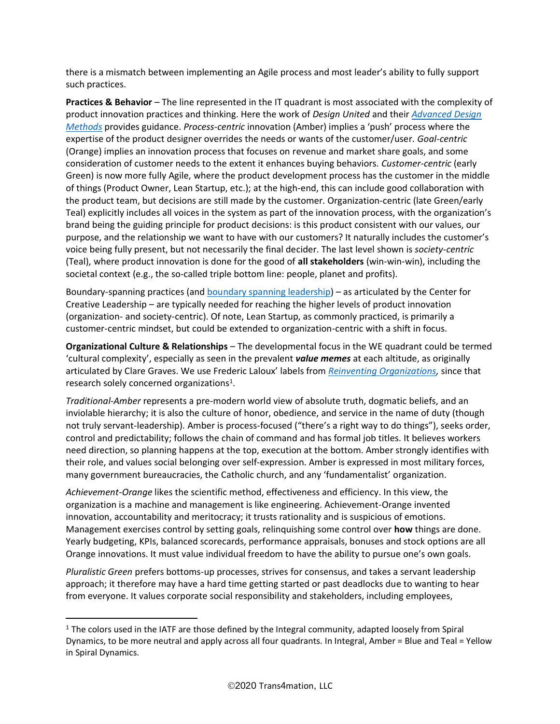there is a mismatch between implementing an Agile process and most leader's ability to fully support such practices.

**Practices & Behavior** – The line represented in the IT quadrant is most associated with the complexity of product innovation practices and thinking. Here the work of *Design United* and their *[Advanced Design](https://www.4tu.nl/du/en/)  [Methods](https://www.4tu.nl/du/en/)* provides guidance. *Process-centric* innovation (Amber) implies a 'push' process where the expertise of the product designer overrides the needs or wants of the customer/user. *Goal-centric* (Orange) implies an innovation process that focuses on revenue and market share goals, and some consideration of customer needs to the extent it enhances buying behaviors. *Customer-centric* (early Green) is now more fully Agile, where the product development process has the customer in the middle of things (Product Owner, Lean Startup, etc.); at the high-end, this can include good collaboration with the product team, but decisions are still made by the customer. Organization-centric (late Green/early Teal) explicitly includes all voices in the system as part of the innovation process, with the organization's brand being the guiding principle for product decisions: is this product consistent with our values, our purpose, and the relationship we want to have with our customers? It naturally includes the customer's voice being fully present, but not necessarily the final decider. The last level shown is *society-centric* (Teal), where product innovation is done for the good of **all stakeholders** (win-win-win), including the societal context (e.g., the so-called triple bottom line: people, planet and profits).

Boundary-spanning practices (and [boundary spanning leadership\)](https://solutions.ccl.org/Boundary_Spanning_Leadership_Six_Practices_for_Solving_Problems_Driving_Innovation_and_Transforming_Organizations) – as articulated by the Center for Creative Leadership – are typically needed for reaching the higher levels of product innovation (organization- and society-centric). Of note, Lean Startup, as commonly practiced, is primarily a customer-centric mindset, but could be extended to organization-centric with a shift in focus.

**Organizational Culture & Relationships** – The developmental focus in the WE quadrant could be termed 'cultural complexity', especially as seen in the prevalent *value memes* at each altitude, as originally articulated by Clare Graves. We use Frederic Laloux' labels from *[Reinventing Organizations,](http://www.reinventingorganizations.com/)* since that research solely concerned organizations<sup>1</sup>.

*Traditional-Amber* represents a pre-modern world view of absolute truth, dogmatic beliefs, and an inviolable hierarchy; it is also the culture of honor, obedience, and service in the name of duty (though not truly servant-leadership). Amber is process-focused ("there's a right way to do things"), seeks order, control and predictability; follows the chain of command and has formal job titles. It believes workers need direction, so planning happens at the top, execution at the bottom. Amber strongly identifies with their role, and values social belonging over self-expression. Amber is expressed in most military forces, many government bureaucracies, the Catholic church, and any 'fundamentalist' organization.

*Achievement-Orange* likes the scientific method, effectiveness and efficiency. In this view, the organization is a machine and management is like engineering. Achievement-Orange invented innovation, accountability and meritocracy; it trusts rationality and is suspicious of emotions. Management exercises control by setting goals, relinquishing some control over **how** things are done. Yearly budgeting, KPIs, balanced scorecards, performance appraisals, bonuses and stock options are all Orange innovations. It must value individual freedom to have the ability to pursue one's own goals.

*Pluralistic Green* prefers bottoms-up processes, strives for consensus, and takes a servant leadership approach; it therefore may have a hard time getting started or past deadlocks due to wanting to hear from everyone. It values corporate social responsibility and stakeholders, including employees,

<sup>&</sup>lt;sup>1</sup> The colors used in the IATF are those defined by the Integral community, adapted loosely from Spiral Dynamics, to be more neutral and apply across all four quadrants. In Integral, Amber = Blue and Teal = Yellow in Spiral Dynamics.